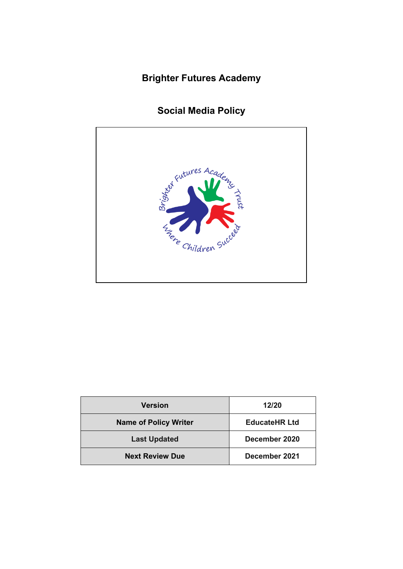# **Brighter Futures Academy**

# **Social Media Policy**



| <b>Version</b>               | 12/20                |
|------------------------------|----------------------|
| <b>Name of Policy Writer</b> | <b>EducateHR Ltd</b> |
| <b>Last Updated</b>          | December 2020        |
| <b>Next Review Due</b>       | December 2021        |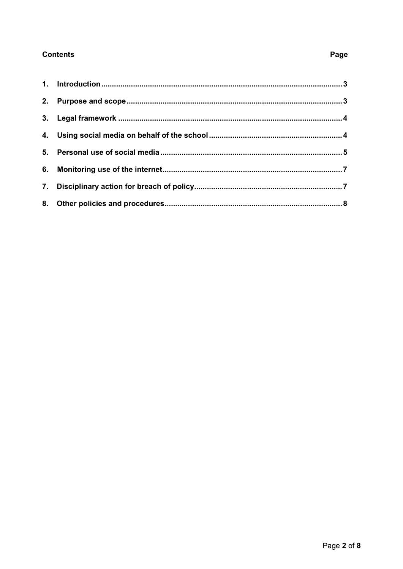## **Contents**

# Page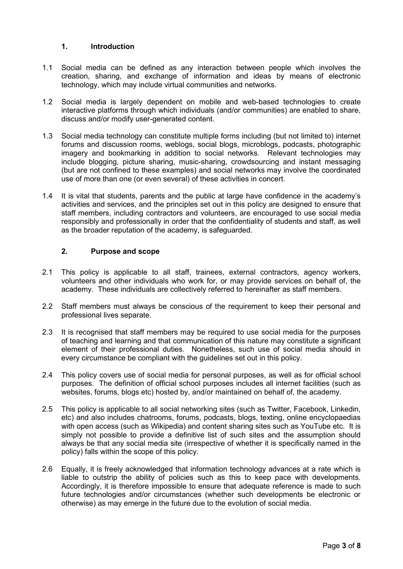#### <span id="page-2-0"></span>**1. Introduction**

- 1.1 Social media can be defined as any interaction between people which involves the creation, sharing, and exchange of information and ideas by means of electronic technology, which may include virtual communities and networks.
- 1.2 Social media is largely dependent on mobile and web-based technologies to create interactive platforms through which individuals (and/or communities) are enabled to share, discuss and/or modify user-generated content.
- 1.3 Social media technology can constitute multiple forms including (but not limited to) internet forums and discussion rooms, weblogs, social blogs, microblogs, podcasts, photographic imagery and bookmarking in addition to social networks. Relevant technologies may include blogging, picture sharing, music-sharing, crowdsourcing and instant messaging (but are not confined to these examples) and social networks may involve the coordinated use of more than one (or even several) of these activities in concert.
- 1.4 It is vital that students, parents and the public at large have confidence in the academy's activities and services, and the principles set out in this policy are designed to ensure that staff members, including contractors and volunteers, are encouraged to use social media responsibly and professionally in order that the confidentiality of students and staff, as well as the broader reputation of the academy, is safeguarded.

#### <span id="page-2-1"></span>**2. Purpose and scope**

- 2.1 This policy is applicable to all staff, trainees, external contractors, agency workers, volunteers and other individuals who work for, or may provide services on behalf of, the academy. These individuals are collectively referred to hereinafter as staff members.
- 2.2 Staff members must always be conscious of the requirement to keep their personal and professional lives separate.
- 2.3 It is recognised that staff members may be required to use social media for the purposes of teaching and learning and that communication of this nature may constitute a significant element of their professional duties. Nonetheless, such use of social media should in every circumstance be compliant with the guidelines set out in this policy.
- 2.4 This policy covers use of social media for personal purposes, as well as for official school purposes. The definition of official school purposes includes all internet facilities (such as websites, forums, blogs etc) hosted by, and/or maintained on behalf of, the academy.
- 2.5 This policy is applicable to all social networking sites (such as Twitter, Facebook, Linkedin, etc) and also includes chatrooms, forums, podcasts, blogs, texting, online encyclopaedias with open access (such as Wikipedia) and content sharing sites such as YouTube etc. It is simply not possible to provide a definitive list of such sites and the assumption should always be that any social media site (irrespective of whether it is specifically named in the policy) falls within the scope of this policy.
- 2.6 Equally, it is freely acknowledged that information technology advances at a rate which is liable to outstrip the ability of policies such as this to keep pace with developments. Accordingly, it is therefore impossible to ensure that adequate reference is made to such future technologies and/or circumstances (whether such developments be electronic or otherwise) as may emerge in the future due to the evolution of social media.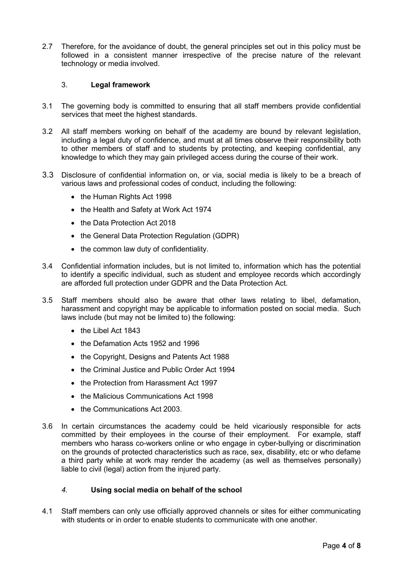2.7 Therefore, for the avoidance of doubt, the general principles set out in this policy must be followed in a consistent manner irrespective of the precise nature of the relevant technology or media involved.

#### <span id="page-3-0"></span>3. **Legal framework**

- 3.1 The governing body is committed to ensuring that all staff members provide confidential services that meet the highest standards.
- 3.2 All staff members working on behalf of the academy are bound by relevant legislation, including a legal duty of confidence, and must at all times observe their responsibility both to other members of staff and to students by protecting, and keeping confidential, any knowledge to which they may gain privileged access during the course of their work.
- 3.3 Disclosure of confidential information on, or via, social media is likely to be a breach of various laws and professional codes of conduct, including the following:
	- the Human Rights Act 1998
	- the Health and Safety at Work Act 1974
	- the Data Protection Act 2018
	- the General Data Protection Regulation (GDPR)
	- the common law duty of confidentiality.
- 3.4 Confidential information includes, but is not limited to, information which has the potential to identify a specific individual, such as student and employee records which accordingly are afforded full protection under GDPR and the Data Protection Act.
- 3.5 Staff members should also be aware that other laws relating to libel, defamation, harassment and copyright may be applicable to information posted on social media. Such laws include (but may not be limited to) the following:
	- the Libel Act 1843
	- the Defamation Acts 1952 and 1996
	- the Copyright, Designs and Patents Act 1988
	- the Criminal Justice and Public Order Act 1994
	- the Protection from Harassment Act 1997
	- the Malicious Communications Act 1998
	- the Communications Act 2003.
- 3.6 In certain circumstances the academy could be held vicariously responsible for acts committed by their employees in the course of their employment. For example, staff members who harass co-workers online or who engage in cyber-bullying or discrimination on the grounds of protected characteristics such as race, sex, disability, etc or who defame a third party while at work may render the academy (as well as themselves personally) liable to civil (legal) action from the injured party.

### <span id="page-3-1"></span>*4.* **Using social media on behalf of the school**

4.1 Staff members can only use officially approved channels or sites for either communicating with students or in order to enable students to communicate with one another.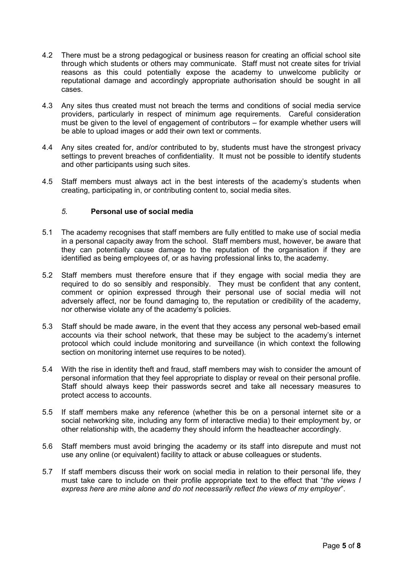- 4.2 There must be a strong pedagogical or business reason for creating an official school site through which students or others may communicate. Staff must not create sites for trivial reasons as this could potentially expose the academy to unwelcome publicity or reputational damage and accordingly appropriate authorisation should be sought in all cases.
- 4.3 Any sites thus created must not breach the terms and conditions of social media service providers, particularly in respect of minimum age requirements. Careful consideration must be given to the level of engagement of contributors – for example whether users will be able to upload images or add their own text or comments.
- 4.4 Any sites created for, and/or contributed to by, students must have the strongest privacy settings to prevent breaches of confidentiality. It must not be possible to identify students and other participants using such sites.
- 4.5 Staff members must always act in the best interests of the academy's students when creating, participating in, or contributing content to, social media sites.

#### <span id="page-4-0"></span>*5.* **Personal use of social media**

- 5.1 The academy recognises that staff members are fully entitled to make use of social media in a personal capacity away from the school. Staff members must, however, be aware that they can potentially cause damage to the reputation of the organisation if they are identified as being employees of, or as having professional links to, the academy.
- 5.2 Staff members must therefore ensure that if they engage with social media they are required to do so sensibly and responsibly. They must be confident that any content, comment or opinion expressed through their personal use of social media will not adversely affect, nor be found damaging to, the reputation or credibility of the academy, nor otherwise violate any of the academy's policies.
- 5.3 Staff should be made aware, in the event that they access any personal web-based email accounts via their school network, that these may be subject to the academy's internet protocol which could include monitoring and surveillance (in which context the following section on monitoring internet use requires to be noted).
- 5.4 With the rise in identity theft and fraud, staff members may wish to consider the amount of personal information that they feel appropriate to display or reveal on their personal profile. Staff should always keep their passwords secret and take all necessary measures to protect access to accounts.
- 5.5 If staff members make any reference (whether this be on a personal internet site or a social networking site, including any form of interactive media) to their employment by, or other relationship with, the academy they should inform the headteacher accordingly.
- 5.6 Staff members must avoid bringing the academy or its staff into disrepute and must not use any online (or equivalent) facility to attack or abuse colleagues or students.
- 5.7 If staff members discuss their work on social media in relation to their personal life, they must take care to include on their profile appropriate text to the effect that "*the views I express here are mine alone and do not necessarily reflect the views of my employer*".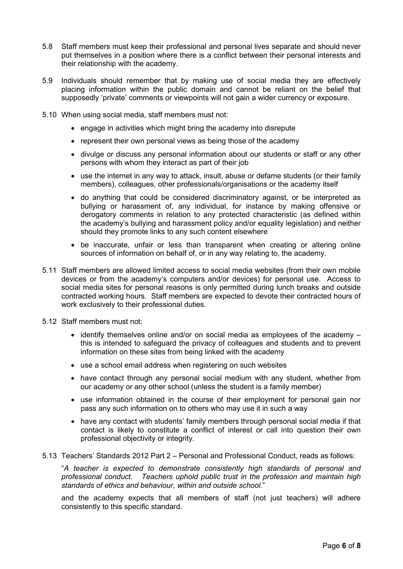- 5.8 Staff members must keep their professional and personal lives separate and should never put themselves in a position where there is a conflict between their personal interests and their relationship with the academy.
- 5.9 Individuals should remember that by making use of social media they are effectively placing information within the public domain and cannot be reliant on the belief that supposedly 'private' comments or viewpoints will not gain a wider currency or exposure.
- 5.10 When using social media, staff members must not:
	- engage in activities which might bring the academy into disrepute
	- represent their own personal views as being those of the academy
	- divulge or discuss any personal information about our students or staff or any other persons with whom they interact as part of their job
	- use the internet in any way to attack, insult, abuse or defame students (or their family members), colleagues, other professionals/organisations or the academy itself
	- do anything that could be considered discriminatory against, or be interpreted as bullying or harassment of, any individual, for instance by making offensive or derogatory comments in relation to any protected characteristic (as defined within the academy's bullying and harassment policy and/or equality legislation) and neither should they promote links to any such content elsewhere
	- be inaccurate, unfair or less than transparent when creating or altering online sources of information on behalf of, or in any way relating to, the academy.
- 5.11 Staff members are allowed limited access to social media websites (from their own mobile devices or from the academy's computers and/or devices) for personal use. Access to social media sites for personal reasons is only permitted during lunch breaks and outside contracted working hours. Staff members are expected to devote their contracted hours of work exclusively to their professional duties.
- 5.12 Staff members must not:
	- identify themselves online and/or on social media as employees of the academy this is intended to safeguard the privacy of colleagues and students and to prevent information on these sites from being linked with the academy
	- use a school email address when registering on such websites
	- have contact through any personal social medium with any student, whether from our academy or any other school (unless the student is a family member)
	- use information obtained in the course of their employment for personal gain nor pass any such information on to others who may use it in such a way
	- have any contact with students' family members through personal social media if that contact is likely to constitute a conflict of interest or call into question their own professional objectivity or integrity.
- 5.13 Teachers' Standards 2012 Part 2 Personal and Professional Conduct, reads as follows:

"*A teacher is expected to demonstrate consistently high standards of personal and professional conduct. Teachers uphold public trust in the profession and maintain high standards of ethics and behaviour, within and outside school.*"

and the academy expects that all members of staff (not just teachers) will adhere consistently to this specific standard.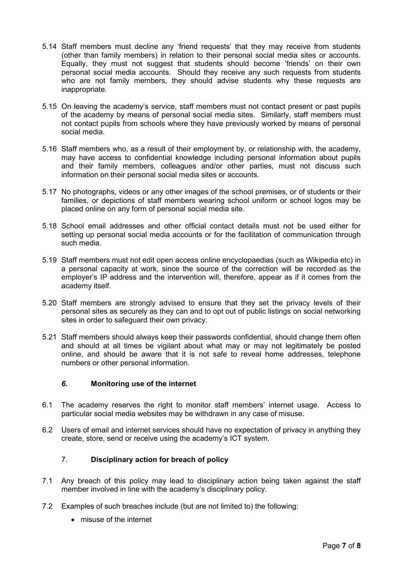- 5.14 Staff members must decline any 'friend requests' that they may receive from students (other than family members) in relation to their personal social media sites or accounts. Equally, they must not suggest that students should become 'friends' on their own personal social media accounts. Should they receive any such requests from students who are not family members, they should advise students why these requests are inappropriate.
- 5.15 On leaving the academy's service, staff members must not contact present or past pupils of the academy by means of personal social media sites. Similarly, staff members must not contact pupils from schools where they have previously worked by means of personal social media.
- 5.16 Staff members who, as a result of their employment by, or relationship with, the academy, may have access to confidential knowledge including personal information about pupils and their family members, colleagues and/or other parties, must not discuss such information on their personal social media sites or accounts.
- 5.17 No photographs, videos or any other images of the school premises, or of students or their families, or depictions of staff members wearing school uniform or school logos may be placed online on any form of personal social media site.
- 5.18 School email addresses and other official contact details must not be used either for setting up personal social media accounts or for the facilitation of communication through such media.
- 5.19 Staff members must not edit open access online encyclopaedias (such as Wikipedia etc) in a personal capacity at work, since the source of the correction will be recorded as the employer's IP address and the intervention will, therefore, appear as if it comes from the academy itself.
- 5.20 Staff members are strongly advised to ensure that they set the privacy levels of their personal sites as securely as they can and to opt out of public listings on social networking sites in order to safeguard their own privacy.
- 5.21 Staff members should always keep their passwords confidential, should change them often and should at all times be vigilant about what may or may not legitimately be posted online, and should be aware that it is not safe to reveal home addresses, telephone numbers or other personal information.

#### <span id="page-6-0"></span>*6.* **Monitoring use of the internet**

- 6.1 The academy reserves the right to monitor staff members' internet usage. Access to particular social media websites may be withdrawn in any case of misuse.
- 6.2 Users of email and internet services should have no expectation of privacy in anything they create, store, send or receive using the academy's ICT system.

### <span id="page-6-1"></span>7. **Disciplinary action for breach of policy**

- 7.1 Any breach of this policy may lead to disciplinary action being taken against the staff member involved in line with the academy's disciplinary policy.
- 7.2 Examples of such breaches include (but are not limited to) the following:
	- misuse of the internet